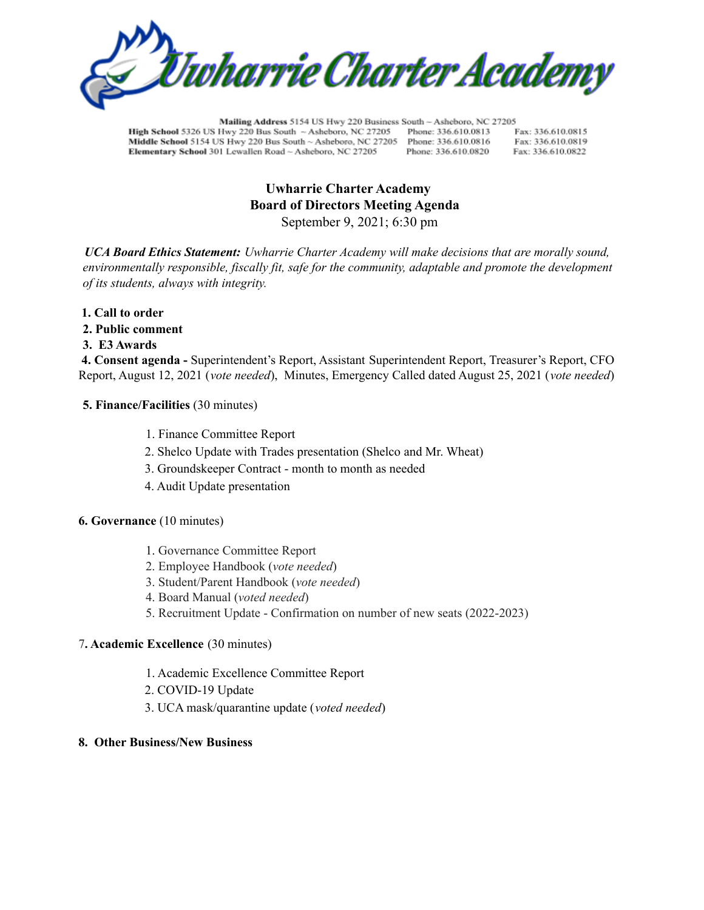

Mailing Address 5154 US Hwy 220 Business South - Asheboro, NC 27205 High School 5326 US Hwy 220 Bus South ~ Asheboro, NC 27205 Phone: 336.610.0813 Fax: 336,610,0815 Middle School 5154 US Hwy 220 Bus South ~ Asheboro, NC 27205 Phone: 336.610.0816 Fax: 336.610.0819 Elementary School 301 Lewallen Road ~ Asheboro, NC 27205 Phone: 336.610.0820 Fax: 336.610.0822

# **Uwharrie Charter Academy Board of Directors Meeting Agenda** September 9, 2021; 6:30 pm

*UCA Board Ethics Statement: Uwharrie Charter Academy will make decisions that are morally sound, environmentally responsible, fiscally fit, safe for the community, adaptable and promote the development of its students, always with integrity.*

- **1. Call to order**
- **2. Public comment**
- **3. E3 Awards**

**4. Consent agenda -** Superintendent's Report, Assistant Superintendent Report, Treasurer's Report, CFO Report, August 12, 2021 (*vote needed*), Minutes, Emergency Called dated August 25, 2021 (*vote needed*)

### **5. Finance/Facilities** (30 minutes)

- 1. Finance Committee Report
- 2. Shelco Update with Trades presentation (Shelco and Mr. Wheat)
- 3. Groundskeeper Contract month to month as needed
- 4. Audit Update presentation

#### **6. Governance** (10 minutes)

- 1. Governance Committee Report
- 2. Employee Handbook (*vote needed*)
- 3. Student/Parent Handbook (*vote needed*)
- 4. Board Manual (*voted needed*)
- 5. Recruitment Update Confirmation on number of new seats (2022-2023)

### 7**. Academic Excellence** (30 minutes)

- 1. Academic Excellence Committee Report
- 2. COVID-19 Update
- 3. UCA mask/quarantine update (*voted needed*)

### **8. Other Business/New Business**